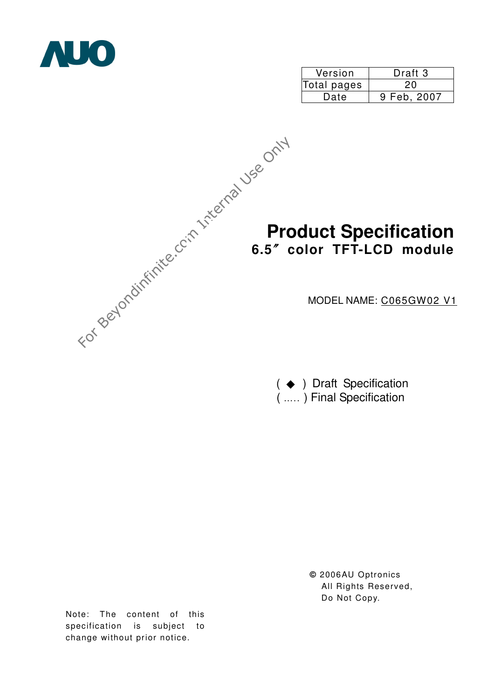

| Version     | Draft 3     |  |  |
|-------------|-------------|--|--|
| Total pages | 20          |  |  |
| Date        | 9 Feb, 2007 |  |  |



 $($   $\blacklozenge$   $)$  Draft Specification ( ….. ) Final Specification

> **©** 2006AU Optronics All Rights Reserved, Do Not Copy.

Note: The content of this specification is subject to change without prior notice.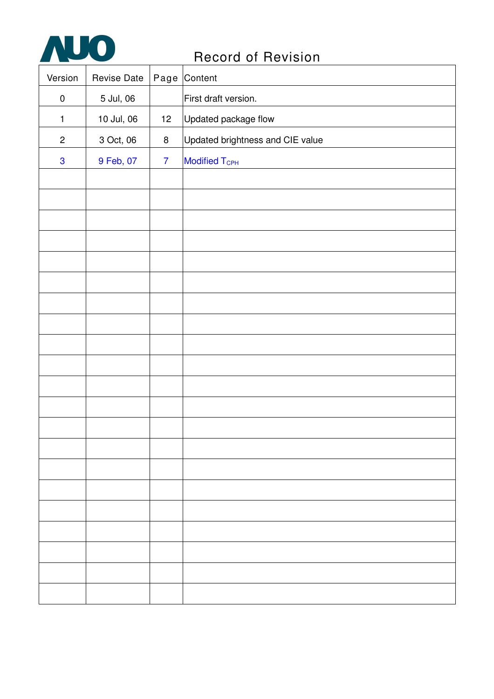

| Version        | Revise Date |                 | Page Content                     |
|----------------|-------------|-----------------|----------------------------------|
| $\pmb{0}$      | 5 Jul, 06   |                 | First draft version.             |
| $\mathbf{1}$   | 10 Jul, 06  | 12 <sub>2</sub> | Updated package flow             |
| $\overline{c}$ | 3 Oct, 06   | $\bf 8$         | Updated brightness and CIE value |
| $\mathbf 3$    | 9 Feb, 07   | $\overline{7}$  | Modified T <sub>CPH</sub>        |
|                |             |                 |                                  |
|                |             |                 |                                  |
|                |             |                 |                                  |
|                |             |                 |                                  |
|                |             |                 |                                  |
|                |             |                 |                                  |
|                |             |                 |                                  |
|                |             |                 |                                  |
|                |             |                 |                                  |
|                |             |                 |                                  |
|                |             |                 |                                  |
|                |             |                 |                                  |
|                |             |                 |                                  |
|                |             |                 |                                  |
|                |             |                 |                                  |
|                |             |                 |                                  |
|                |             |                 |                                  |
|                |             |                 |                                  |
|                |             |                 |                                  |
|                |             |                 |                                  |
|                |             |                 |                                  |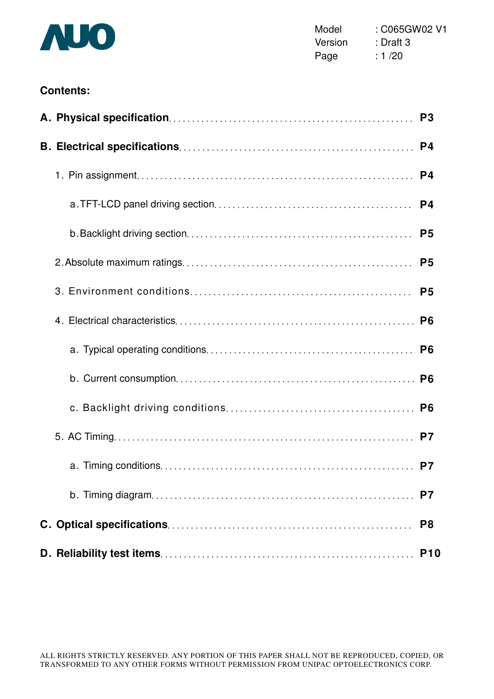

Model : C065GW02 V1 Version : Draft 3 Page : 1/20

## **Contents:**

|  | P <sub>3</sub> |
|--|----------------|
|  | P <sub>4</sub> |
|  | P <sub>4</sub> |
|  | P <sub>4</sub> |
|  | P <sub>5</sub> |
|  | P <sub>5</sub> |
|  | P <sub>5</sub> |
|  | P <sub>6</sub> |
|  | P <sub>6</sub> |
|  |                |
|  | P <sub>6</sub> |
|  |                |
|  | P <sub>7</sub> |
|  | P7             |
|  | P <sub>8</sub> |
|  | <b>P10</b>     |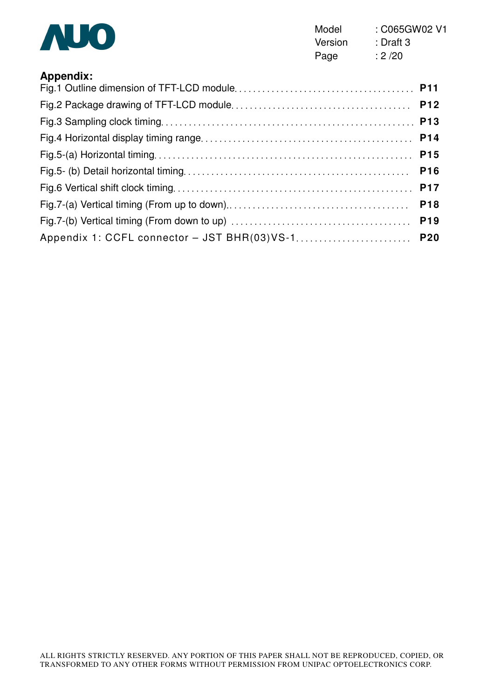

Model : C065GW02 V1 Version : Draft 3 Page : 2 /20

| <b>Appendix:</b>                                 |            |
|--------------------------------------------------|------------|
|                                                  |            |
|                                                  |            |
|                                                  |            |
|                                                  |            |
|                                                  |            |
|                                                  | <b>P16</b> |
|                                                  |            |
|                                                  |            |
|                                                  |            |
| Appendix 1: CCFL connector - JST BHR(03)VS-1 P20 |            |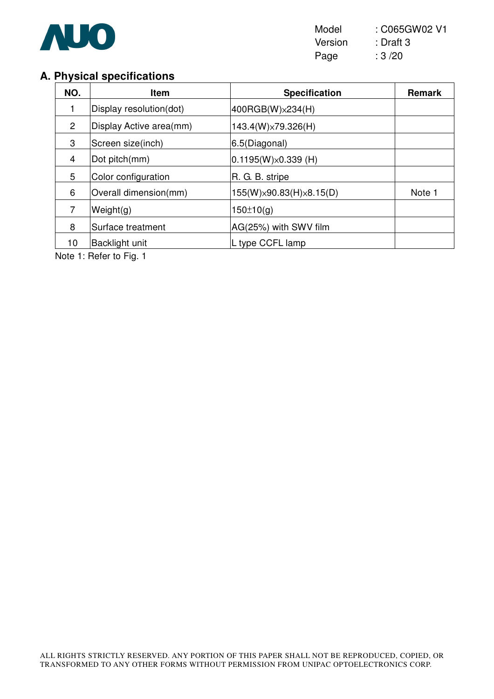

## **A. Physical specifications**

| NO.            | <b>Item</b>             | <b>Specification</b>                    | <b>Remark</b> |
|----------------|-------------------------|-----------------------------------------|---------------|
| 1              | Display resolution(dot) | 400RGB(W) × 234(H)                      |               |
| $\overline{2}$ | Display Active area(mm) | 143.4(W)×79.326(H)                      |               |
| 3              | Screen size(inch)       | 6.5(Diagonal)                           |               |
| 4              | Dot pitch(mm)           | $0.1195(W)\times 0.339(H)$              |               |
| 5              | Color configuration     | R. G. B. stripe                         |               |
| 6              | Overall dimension(mm)   | $155(W) \times 90.83(H) \times 8.15(D)$ | Note 1        |
| 7              | Weight(g)               | 150±10(q)                               |               |
| 8              | Surface treatment       | AG(25%) with SWV film                   |               |
| 10             | <b>Backlight unit</b>   | L type CCFL lamp                        |               |

Note 1: Refer to Fig. 1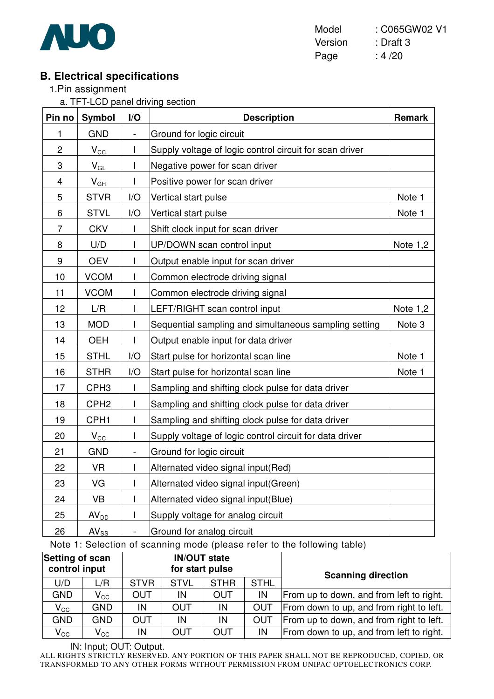

Model : C065GW02 V1 Version : Draft 3 Page : 4/20

# **B. Electrical specifications**

1.Pin assignment

a. TFT-LCD panel driving section

| Pin no                  | Symbol                     | I/O               | <b>Description</b>                                      | <b>Remark</b> |
|-------------------------|----------------------------|-------------------|---------------------------------------------------------|---------------|
| 1                       | <b>GND</b>                 | $\qquad \qquad -$ | Ground for logic circuit                                |               |
| $\overline{c}$          | $V_{\rm CC}$               | I                 | Supply voltage of logic control circuit for scan driver |               |
| 3                       | $\mathsf{V}_{\mathsf{GL}}$ | T                 | Negative power for scan driver                          |               |
| $\overline{\mathbf{4}}$ | $V_{GH}$                   | T                 | Positive power for scan driver                          |               |
| 5                       | <b>STVR</b>                | I/O               | Vertical start pulse                                    | Note 1        |
| 6                       | <b>STVL</b>                | I/O               | Vertical start pulse                                    | Note 1        |
| $\overline{7}$          | <b>CKV</b>                 | T                 | Shift clock input for scan driver                       |               |
| 8                       | U/D                        | T                 | UP/DOWN scan control input                              | Note $1,2$    |
| $\boldsymbol{9}$        | <b>OEV</b>                 | I                 | Output enable input for scan driver                     |               |
| 10                      | <b>VCOM</b>                | I                 | Common electrode driving signal                         |               |
| 11                      | <b>VCOM</b>                | I                 | Common electrode driving signal                         |               |
| 12                      | L/R                        | $\overline{1}$    | LEFT/RIGHT scan control input                           | Note 1,2      |
| 13                      | <b>MOD</b>                 | I                 | Sequential sampling and simultaneous sampling setting   | Note 3        |
| 14                      | <b>OEH</b>                 | I                 | Output enable input for data driver                     |               |
| 15                      | <b>STHL</b>                | I/O               | Start pulse for horizontal scan line                    | Note 1        |
| 16                      | <b>STHR</b>                | I/O               | Start pulse for horizontal scan line                    | Note 1        |
| 17                      | CPH <sub>3</sub>           | $\overline{1}$    | Sampling and shifting clock pulse for data driver       |               |
| 18                      | CPH <sub>2</sub>           | I                 | Sampling and shifting clock pulse for data driver       |               |
| 19                      | CPH <sub>1</sub>           | T                 | Sampling and shifting clock pulse for data driver       |               |
| 20                      | $V_{\rm CC}$               | I                 | Supply voltage of logic control circuit for data driver |               |
| 21                      | <b>GND</b>                 | $\frac{1}{2}$     | Ground for logic circuit                                |               |
| 22                      | <b>VR</b>                  | T                 | Alternated video signal input(Red)                      |               |
| 23                      | VG                         | I                 | Alternated video signal input(Green)                    |               |
| 24                      | <b>VB</b>                  | I                 | Alternated video signal input(Blue)                     |               |
| 25                      | AV <sub>DD</sub>           | $\overline{1}$    | Supply voltage for analog circuit                       |               |
| 26                      | $AV_{SS}$                  |                   | Ground for analog circuit                               |               |

Note 1: Selection of scanning mode (please refer to the following table)

| Setting of scan<br>control input |              |             |             | <b>IN/OUT state</b><br>for start pulse |             | <b>Scanning direction</b>                |  |  |
|----------------------------------|--------------|-------------|-------------|----------------------------------------|-------------|------------------------------------------|--|--|
| U/D                              | L/R          | <b>STVR</b> | <b>STVL</b> | <b>STHR</b>                            | <b>STHL</b> |                                          |  |  |
| <b>GND</b>                       | $V_{\rm CC}$ | OUT         | IN          | <b>OUT</b>                             | IN          | From up to down, and from left to right. |  |  |
| $V_{\rm CC}$                     | <b>GND</b>   | IN          | <b>OUT</b>  | IN                                     | <b>OUT</b>  | From down to up, and from right to left. |  |  |
| <b>GND</b>                       | <b>GND</b>   | <b>OUT</b>  | IN          | IN                                     | <b>OUT</b>  | From up to down, and from right to left. |  |  |
| $V_{\rm CC}$                     | $V_{\rm CC}$ | IN          | <b>OUT</b>  | <b>OUT</b>                             | IN          | From down to up, and from left to right. |  |  |

IN: Input; OUT: Output.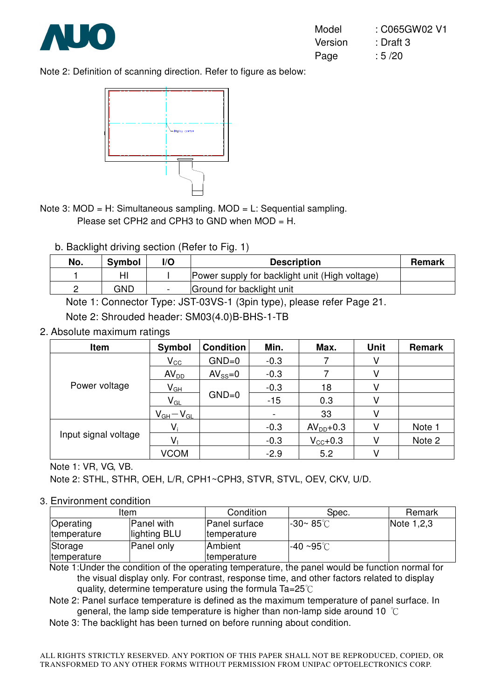

Note 2: Definition of scanning direction. Refer to figure as below:



- Note 3: MOD = H: Simultaneous sampling. MOD = L: Sequential sampling. Please set CPH2 and CPH3 to GND when MOD = H.
	- b. Backlight driving section (Refer to Fig. 1)

| No. | Symbol | I/O | <b>Description</b>                             | <b>Remark</b> |
|-----|--------|-----|------------------------------------------------|---------------|
|     |        |     | Power supply for backlight unit (High voltage) |               |
|     | GND    |     | Ground for backlight unit                      |               |

Note 1: Connector Type: JST-03VS-1 (3pin type), please refer Page 21.

Note 2: Shrouded header: SM03(4.0)B-BHS-1-TB

2. Absolute maximum ratings

| Item                 | Symbol           | <b>Condition</b> | Min.   | Max.                | <b>Unit</b> | <b>Remark</b> |
|----------------------|------------------|------------------|--------|---------------------|-------------|---------------|
|                      | $V_{\rm CC}$     | $GND=0$          | $-0.3$ |                     | V           |               |
| Power voltage        | AV <sub>DD</sub> | $AV_{SS}=0$      | $-0.3$ |                     | V           |               |
|                      | $V_{GH}$         |                  | $-0.3$ | 18                  | V           |               |
|                      | $V_{GL}$         | $GND=0$          | $-15$  | 0.3                 | V           |               |
|                      | $V_{GH}-V_{GL}$  |                  | ۰.     | 33                  |             |               |
|                      | $V_i$            |                  | $-0.3$ | $AVDD+0.3$          |             | Note 1        |
| Input signal voltage |                  |                  | $-0.3$ | $V_{\text{CC}}+0.3$ |             | Note 2        |
|                      | <b>VCOM</b>      |                  | $-2.9$ | 5.2                 |             |               |

Note 1: VR, VG, VB.

Note 2: STHL, STHR, OEH, L/R, CPH1~CPH3, STVR, STVL, OEV, CKV, U/D.

#### 3. Environment condition

| ltem                |              | Condition            | Spec.                | Remark     |
|---------------------|--------------|----------------------|----------------------|------------|
| Operating           | Panel with   | <b>Panel surface</b> | $-30 - 85^{\circ}$ C | Note 1,2,3 |
| temperature         | lighting BLU | <i>Itemperature</i>  |                      |            |
| Storage             | Panel only   | Ambient              | l-40 ∼95℃.           |            |
| <b>Itemperature</b> |              | <i>Itemperature</i>  |                      |            |

Note 1:Under the condition of the operating temperature, the panel would be function normal for the visual display only. For contrast, response time, and other factors related to display quality, determine temperature using the formula  $Ta=25^\circ C$ 

Note 2: Panel surface temperature is defined as the maximum temperature of panel surface. In general, the lamp side temperature is higher than non-lamp side around 10  $^{\circ}$ C

Note 3: The backlight has been turned on before running about condition.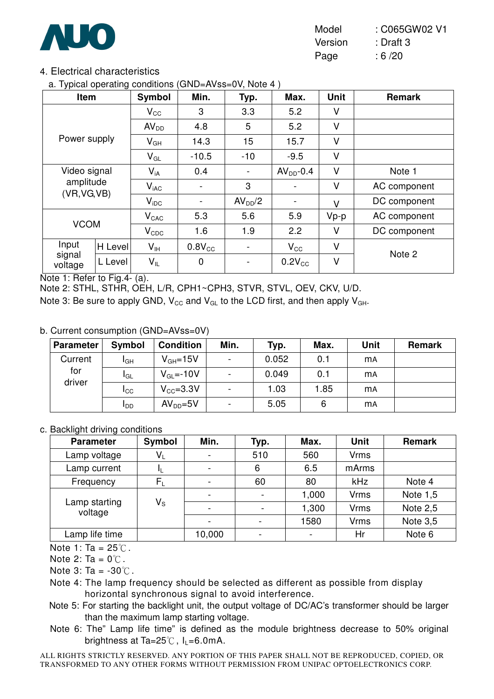

Model : C065GW02 V1 Version : Draft 3 Page : 6/20

## 4. Electrical characteristics

a. Typical operating conditions (GND=AVss=0V, Note 4 )

| ,,<br>Item                | ັ              | Symbol                     | Min.        | Typ.                         | Max.                     | <b>Unit</b> | <b>Remark</b> |
|---------------------------|----------------|----------------------------|-------------|------------------------------|--------------------------|-------------|---------------|
|                           |                | $\mathsf{V}_{\mathsf{CC}}$ | 3           | 3.3                          | 5.2                      | V           |               |
|                           |                | AV <sub>DD</sub>           | 4.8         | 5                            | 5.2                      | V           |               |
| Power supply              |                | $V_{GH}$                   | 14.3        | 15                           | 15.7                     | V           |               |
|                           |                | $V_{GL}$                   | $-10.5$     | $-10$                        | $-9.5$                   | V           |               |
| Video signal              |                | $V_{iA}$                   | 0.4         | $\qquad \qquad \blacksquare$ | $AVDD - 0.4$             | V           | Note 1        |
| amplitude<br>(VR, VG, VB) |                | $V_{\text{iAC}}$           |             | 3                            |                          | V           | AC component  |
|                           |                | $V_{\text{IDC}}$           |             | AV <sub>DD</sub> /2          | $\overline{\phantom{0}}$ | $\vee$      | DC component  |
|                           |                | $V_{\text{CAC}}$           | 5.3         | 5.6                          | 5.9                      | $Vp-p$      | AC component  |
| <b>VCOM</b>               |                | $V_{CDC}$                  | 1.6         | 1.9                          | 2.2                      | V           | DC component  |
| Input                     | <b>H</b> Level | $V_{\text{IH}}$            | $0.8V_{CC}$ | $\qquad \qquad \blacksquare$ | $V_{\rm CC}$             | V           |               |
| signal<br>voltage         | L Level        | $V_{IL}$                   | $\mathbf 0$ |                              | $0.2V_{CC}$              | V           | Note 2        |

Note 1: Refer to Fig.4- (a).

Note 2: STHL, STHR, OEH, L/R, CPH1~CPH3, STVR, STVL, OEV, CKV, U/D.

Note 3: Be sure to apply GND,  $V_{CC}$  and  $V_{GL}$  to the LCD first, and then apply  $V_{GH}$ .

#### b. Current consumption (GND=AVss=0V)

| <b>Parameter</b> | Symbol          | <b>Condition</b> | Min.                     | Typ.  | Max. | <b>Unit</b> | <b>Remark</b> |
|------------------|-----------------|------------------|--------------------------|-------|------|-------------|---------------|
| Current          | I <sub>GH</sub> | $V_{GH} = 15V$   | $\blacksquare$           | 0.052 | 0.1  | <b>MA</b>   |               |
| for<br>driver    | <b>I</b> GL     | $V_{GL} = -10V$  | -                        | 0.049 | 0.1  | <b>MA</b>   |               |
|                  | Icc             | $V_{CC} = 3.3V$  | $\overline{\phantom{a}}$ | 1.03  | 1.85 | <b>MA</b>   |               |
|                  | <b>I</b> DD     | $AVDD=5V$        | $\overline{\phantom{a}}$ | 5.05  | 6    | <b>mA</b>   |               |

#### c. Backlight driving conditions

| <b>Parameter</b>         | Symbol                  | Min.                     | Typ.                     | Max.  | <b>Unit</b> | <b>Remark</b> |
|--------------------------|-------------------------|--------------------------|--------------------------|-------|-------------|---------------|
| Lamp voltage             | $\mathsf{V}_\mathsf{L}$ |                          | 510                      | 560   | Vrms        |               |
| Lamp current             | ΠL                      | $\overline{\phantom{0}}$ | 6                        | 6.5   | mArms       |               |
| Frequency                | $\mathsf{F}_\mathsf{L}$ | $\overline{\phantom{a}}$ | 60                       | 80    | kHz         | Note 4        |
|                          |                         |                          |                          | 1,000 | Vrms        | Note $1,5$    |
| Lamp starting<br>voltage | $V_{\rm S}$             | $\overline{\phantom{0}}$ | $\overline{\phantom{0}}$ | 1,300 | <b>Vrms</b> | Note $2,5$    |
|                          |                         | $\overline{\phantom{0}}$ |                          | 1580  | Vrms        | Note 3,5      |
| Lamp life time           |                         | 10,000                   |                          |       | Hr          | Note 6        |

Note 1: Ta =  $25^{\circ}$ C.

Note 2: Ta =  $0^{\circ}$ C.

Note  $3: Ta = -30°C$ .

- Note 4: The lamp frequency should be selected as different as possible from display horizontal synchronous signal to avoid interference.
- Note 5: For starting the backlight unit, the output voltage of DC/AC's transformer should be larger than the maximum lamp starting voltage.
- Note 6: The" Lamp life time" is defined as the module brightness decrease to 50% original brightness at Ta=25 $\degree$ C, I<sub>L</sub>=6.0mA.
- ALL RIGHTS STRICTLY RESERVED. ANY PORTION OF THIS PAPER SHALL NOT BE REPRODUCED, COPIED, OR TRANSFORMED TO ANY OTHER FORMS WITHOUT PERMISSION FROM UNIPAC OPTOELECTRONICS CORP.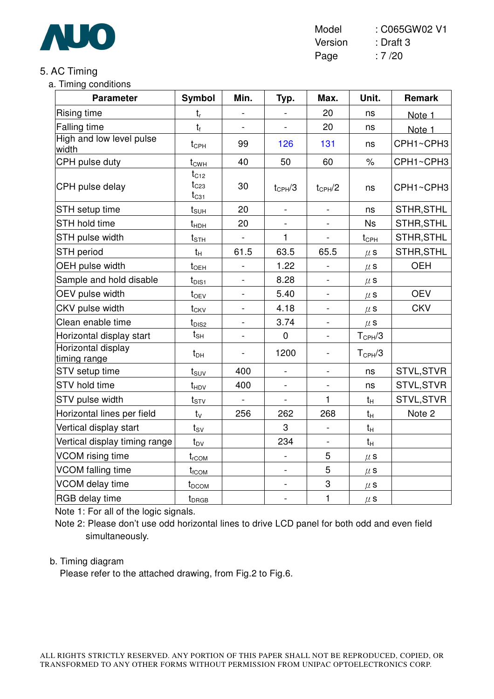

Model : C065GW02 V1 Version : Draft 3 Page : 7 /20

## 5. AC Timing

a. Timing conditions

| <b>Parameter</b>                   | <b>Symbol</b>                       | Min.           | Typ.               | Max.                     | Unit.              | <b>Remark</b> |
|------------------------------------|-------------------------------------|----------------|--------------------|--------------------------|--------------------|---------------|
| Rising time                        | $t_{r}$                             |                |                    | 20                       | ns                 | Note 1        |
| <b>Falling time</b>                | $t_f$                               |                |                    | 20                       | ns                 | Note 1        |
| High and low level pulse<br>width  | $t_{\text{CPH}}$                    | 99             | 126                | 131                      | ns                 | CPH1~CPH3     |
| CPH pulse duty                     | $t_{CWH}$                           | 40             | 50                 | 60                       | $\%$               | CPH1~CPH3     |
| CPH pulse delay                    | $t_{C12}$<br>$t_{C23}$<br>$t_{C31}$ | 30             | $t_{\text{CPH}}/3$ | $t_{CPH}/2$              | ns                 | CPH1~CPH3     |
| STH setup time                     | $t_{\text{SUH}}$                    | 20             | $\blacksquare$     | $\frac{1}{2}$            | ns                 | STHR, STHL    |
| <b>STH hold time</b>               | $t_{HDH}$                           | 20             |                    |                          | <b>Ns</b>          | STHR, STHL    |
| STH pulse width                    | $t_{\text{STH}}$                    | $\blacksquare$ | 1                  | $\overline{\phantom{0}}$ | $t_{\text{CPH}}$   | STHR, STHL    |
| <b>STH period</b>                  | $t_H$                               | 61.5           | 63.5               | 65.5                     | $\mu$ S            | STHR, STHL    |
| OEH pulse width                    | $t_{\text{OEH}}$                    |                | 1.22               |                          | $\mu$ S            | <b>OEH</b>    |
| Sample and hold disable            | $t_{\text{DIS1}}$                   |                | 8.28               |                          | $\mu$ s            |               |
| OEV pulse width                    | $t_{OEV}$                           |                | 5.40               |                          | $\mu$ S            | <b>OEV</b>    |
| CKV pulse width                    | $t_{CKV}$                           |                | 4.18               |                          | $\mu$ S            | <b>CKV</b>    |
| Clean enable time                  | $t_{\text{DIS2}}$                   |                | 3.74               |                          | $\mu$ S            |               |
| Horizontal display start           | $t_{\text{SH}}$                     |                | $\mathbf 0$        |                          | $T_{\text{CPH}}/3$ |               |
| Horizontal display<br>timing range | $t_{DH}$                            |                | 1200               |                          | $T_{\text{CPH}}/3$ |               |
| STV setup time                     | $t_{\text{SUV}}$                    | 400            | $\overline{a}$     | $\overline{\phantom{a}}$ | ns                 | STVL, STVR    |
| <b>STV</b> hold time               | $t_{HDV}$                           | 400            |                    |                          | ns                 | STVL, STVR    |
| STV pulse width                    | $t_{STV}$                           | $\blacksquare$ |                    | $\mathbf{1}$             | $t_H$              | STVL, STVR    |
| Horizontal lines per field         | $t_{\rm V}$                         | 256            | 262                | 268                      | $t_H$              | Note 2        |
| Vertical display start             | $t_{\rm SV}$                        |                | 3                  |                          | $t_H$              |               |
| Vertical display timing range      | $t_{\text{DV}}$                     |                | 234                | $\overline{\phantom{0}}$ | $t_H$              |               |
| VCOM rising time                   | $t_{rCOM}$                          |                |                    | 5                        | $\mu$ s            |               |
| VCOM falling time                  | $t_{\text{fCOM}}$                   |                | $\blacksquare$     | 5                        | $\mu$ S            |               |
| VCOM delay time                    | t <sub>DCOM</sub>                   |                | $\overline{a}$     | 3                        | $\mu$ s            |               |
| RGB delay time                     | $t_{DRGB}$                          |                | $\blacksquare$     | $\mathbf{1}$             | $\mu$ s            |               |

Note 1: For all of the logic signals.

Note 2: Please don't use odd horizontal lines to drive LCD panel for both odd and even field simultaneously.

### b. Timing diagram

Please refer to the attached drawing, from Fig.2 to Fig.6.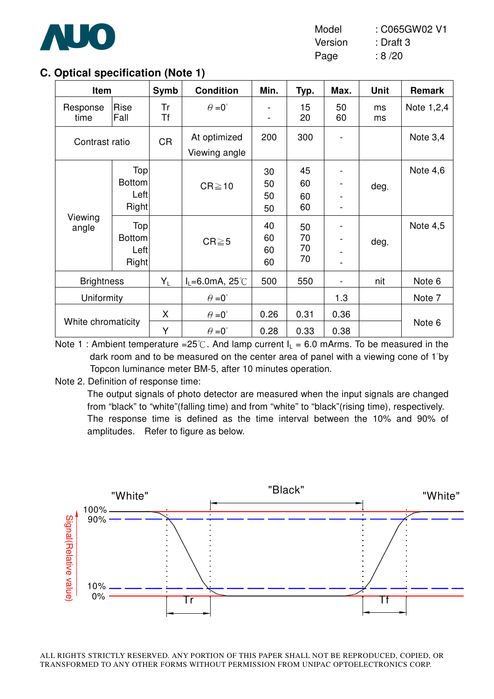

| Model   | : C065GW02 V1 |
|---------|---------------|
| Version | : Draft 3     |
| Page    | :8/20         |

## **C. Optical specification (Note 1)**

| Item               |                                       | Symb      | <b>Condition</b>                             | Min.                 | Typ.                 | Max.         | <b>Unit</b> | Remark     |
|--------------------|---------------------------------------|-----------|----------------------------------------------|----------------------|----------------------|--------------|-------------|------------|
| Response<br>time   | Rise<br>Fall                          | Tr<br>Τf  | $\theta = 0^{\circ}$                         | $\blacksquare$       | 15<br>20             | 50<br>60     | ms<br>ms    | Note 1,2,4 |
| Contrast ratio     |                                       | <b>CR</b> | At optimized<br>Viewing angle                | 200                  | 300                  |              |             | Note $3,4$ |
|                    | Top<br><b>Bottom</b><br>Left<br>Right |           | $CR \ge 10$                                  | 30<br>50<br>50<br>50 | 45<br>60<br>60<br>60 |              | deg.        | Note $4,6$ |
| Viewing<br>angle   | Top<br><b>Bottom</b><br>Left<br>Right |           | $CR \ge 5$                                   | 40<br>60<br>60<br>60 | 50<br>70<br>70<br>70 |              | deg.        | Note 4,5   |
| <b>Brightness</b>  |                                       | $Y_L$     | $I_L = 6.0$ mA, 25°C                         | 500                  | 550                  |              | nit         | Note 6     |
| Uniformity         |                                       |           | $\theta = 0^{\circ}$                         |                      |                      | 1.3          |             | Note 7     |
| White chromaticity |                                       | X<br>Y    | $\theta = 0^{\circ}$<br>$\theta = 0^{\circ}$ | 0.26<br>0.28         | 0.31<br>0.33         | 0.36<br>0.38 |             | Note 6     |

Note 1 : Ambient temperature = $25^{\circ}$ C. And lamp current  $I_L$  = 6.0 mArms. To be measured in the dark room and to be measured on the center area of panel with a viewing cone of 1̓by Topcon luminance meter BM-5, after 10 minutes operation.

Note 2. Definition of response time:

The output signals of photo detector are measured when the input signals are changed from "black" to "white"(falling time) and from "white" to "black"(rising time), respectively. The response time is defined as the time interval between the 10% and 90% of amplitudes. Refer to figure as below.

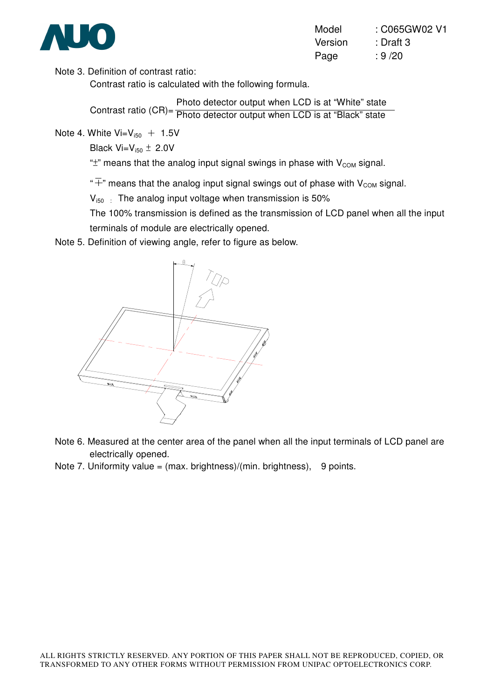

| Model   | : C065GW02 V1 |
|---------|---------------|
| Version | : Draft 3     |
| Page    | : 9/20        |

Note 3. Definition of contrast ratio:

Contrast ratio is calculated with the following formula.

Contrast ratio (CR)= **Pommast rand (OTI)** Photo detector output when LCD is at "Black" state Photo detector output when LCD is at "White" state

Note 4. White  $Vi = V_{150} + 1.5V$ 

Black  $Vi=V_{150} \pm 2.0V$ 

" $\pm$ " means that the analog input signal swings in phase with  $V_{COM}$  signal.

" $\overline{+}$ " means that the analog input signal swings out of phase with V<sub>COM</sub> signal.

 $V_{150}$ : The analog input voltage when transmission is 50%

The 100% transmission is defined as the transmission of LCD panel when all the input terminals of module are electrically opened.

Note 5. Definition of viewing angle, refer to figure as below.



- Note 6. Measured at the center area of the panel when all the input terminals of LCD panel are electrically opened.
- Note 7. Uniformity value =  $(max.~ brightness)/(min.~ brightness)$ , 9 points.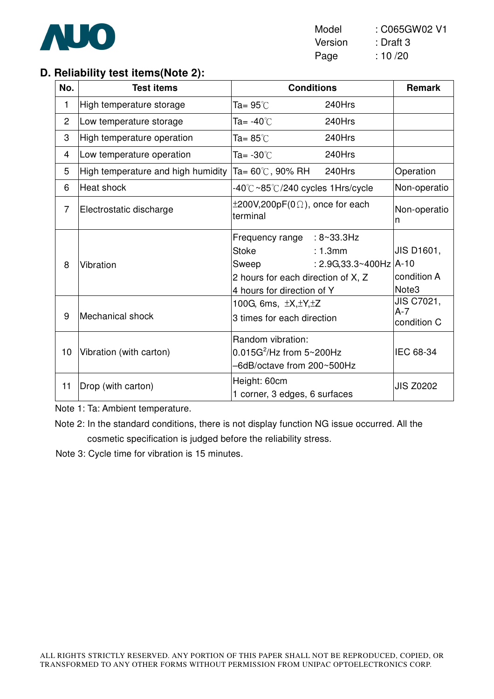

## **D. Reliability test items(Note 2):**

| No.            | <b>Test items</b>                  | <b>Conditions</b>                                                                                                                                                 | <b>Remark</b>                      |
|----------------|------------------------------------|-------------------------------------------------------------------------------------------------------------------------------------------------------------------|------------------------------------|
| 1              | High temperature storage           | 240Hrs<br>Ta= 95℃                                                                                                                                                 |                                    |
| $\overline{2}$ | Low temperature storage            | 240Hrs<br>Ta= -40℃                                                                                                                                                |                                    |
| 3              | High temperature operation         | Ta= 85 $^\circ\!{\rm C}$<br>240Hrs                                                                                                                                |                                    |
| 4              | Low temperature operation          | 240Hrs<br>Ta= -30 $\degree$ C                                                                                                                                     |                                    |
| 5              | High temperature and high humidity | 240Hrs<br>Ta= 60℃, 90% RH                                                                                                                                         | Operation                          |
| 6              | Heat shock                         | -40℃~85℃/240 cycles 1Hrs/cycle                                                                                                                                    | Non-operatio                       |
| $\overline{7}$ | Electrostatic discharge            | $\pm 200V, 200pF(0\Omega)$ , once for each<br>terminal                                                                                                            | Non-operatio<br>n                  |
| 8              | Vibration                          | Frequency range : 8~33.3Hz<br><b>Stoke</b><br>: 1.3mm<br>: $2.9G, 33.3~400Hz$ $A-10$<br>Sweep<br>2 hours for each direction of X, Z<br>4 hours for direction of Y | JIS D1601,<br>condition A<br>Note3 |
| 9              | Mechanical shock                   | 100G, 6ms, $\pm X, \pm Y, \pm Z$<br>3 times for each direction                                                                                                    | JIS C7021,<br>A-7<br>condition C   |
| 10             | Vibration (with carton)            | Random vibration:<br>$0.015G^2$ /Hz from 5~200Hz<br>-6dB/octave from 200~500Hz                                                                                    | IEC 68-34                          |
| 11             | Drop (with carton)                 | Height: 60cm<br>1 corner, 3 edges, 6 surfaces                                                                                                                     | <b>JIS Z0202</b>                   |

Note 1: Ta: Ambient temperature.

Note 2: In the standard conditions, there is not display function NG issue occurred. All the cosmetic specification is judged before the reliability stress.

Note 3: Cycle time for vibration is 15 minutes.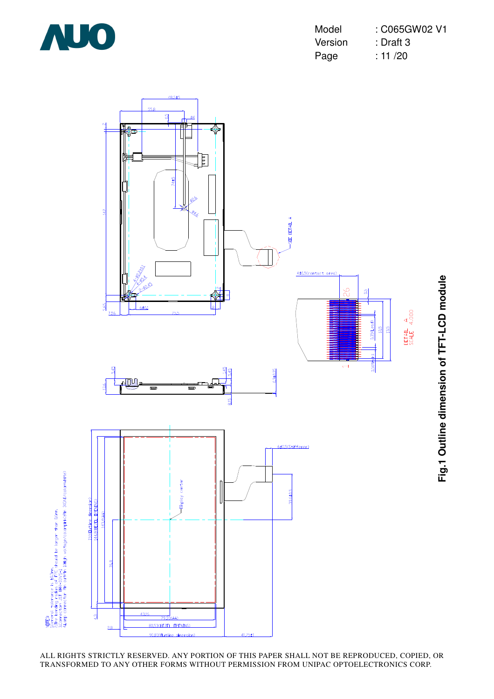

| Model   | : C065GW02 V1 |
|---------|---------------|
| Version | : Draft 3     |
| Page    | : 11 / 20     |

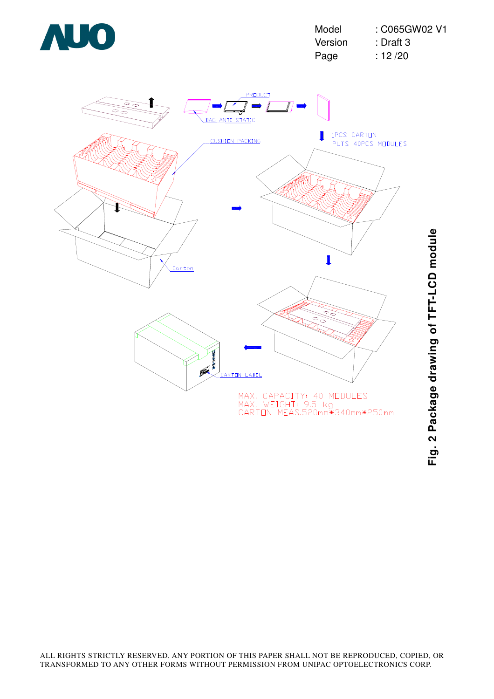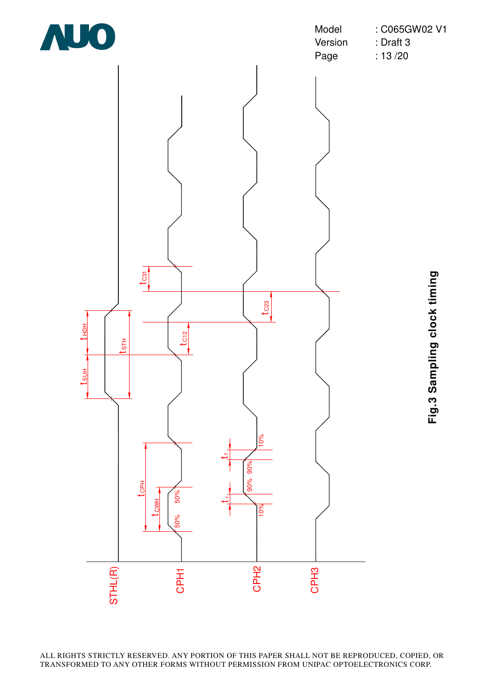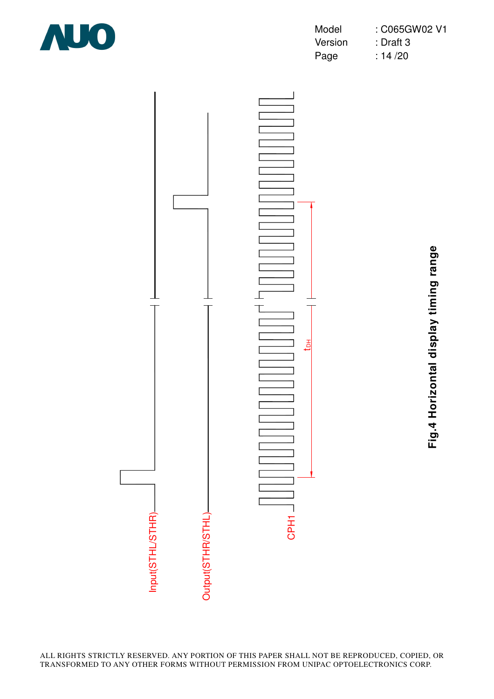

| Model   | : C065GW02 V1 |
|---------|---------------|
| Version | : Draft 3     |
| Page    | : $14/20$     |



**Fig.4 Horizontal display timing range** Fig.4 Horizontal display timing range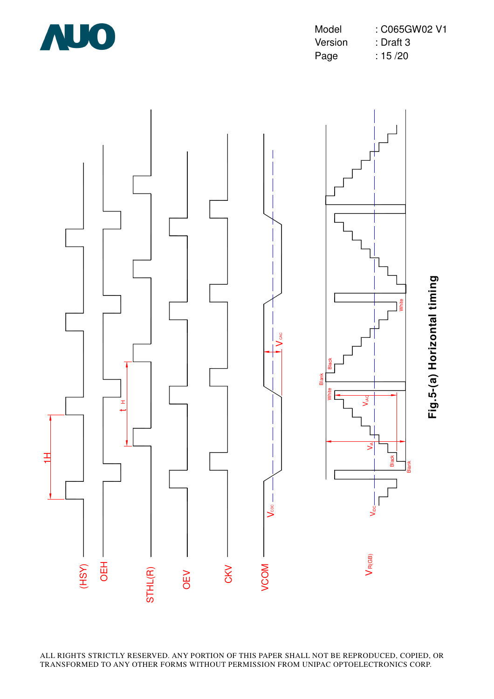

Model : C065GW02 V1 Version : Draft 3 Page : 15 /20

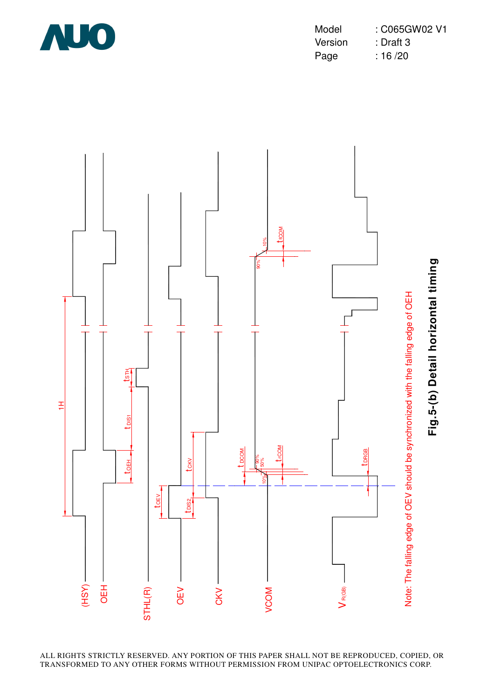

Model : C065GW02 V1 Version : Draft 3 Page : 16 /20

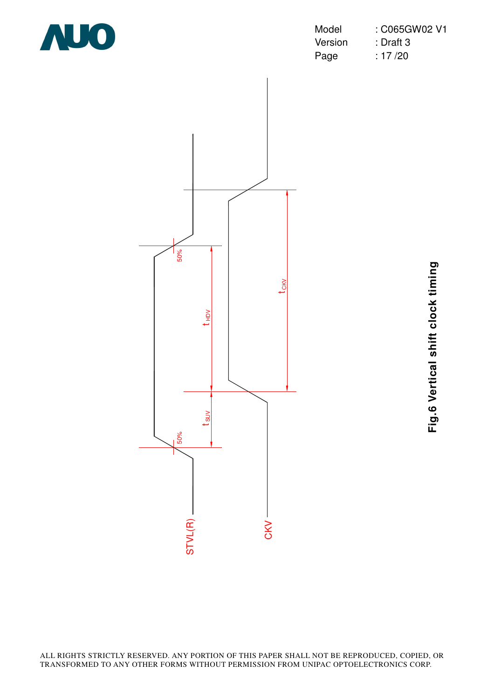

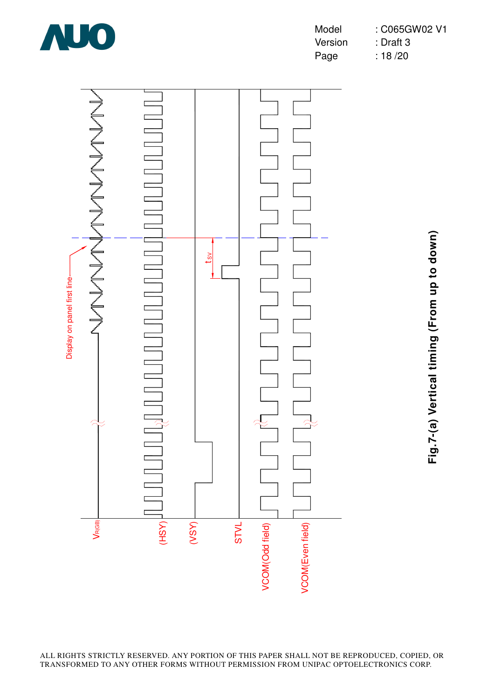

Model : C065GW02 V1 Version : Draft 3 Page : 18/20



**Fig.7-(a) Vertical timing (From up to down)** Fig.7-(a) Vertical timing (From up to down)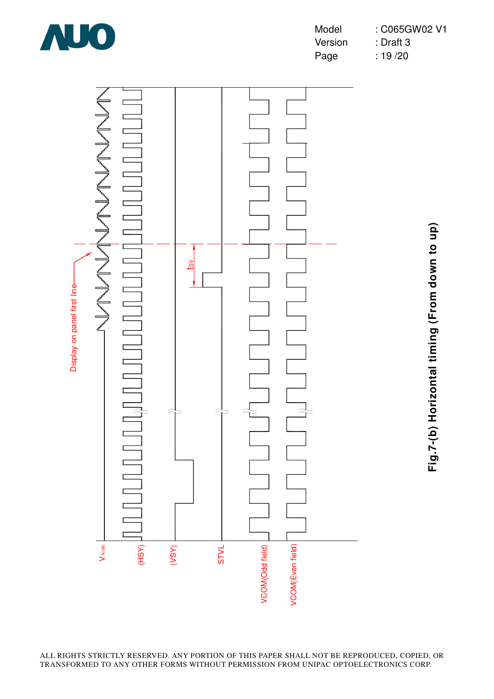

Model : C065GW02 V1 Version : Draft 3 Page : 19/20



**Fig.7-(b) Horizontal timing (From down to up)** Fig.7-(b) Horizontal timing (From down to up)